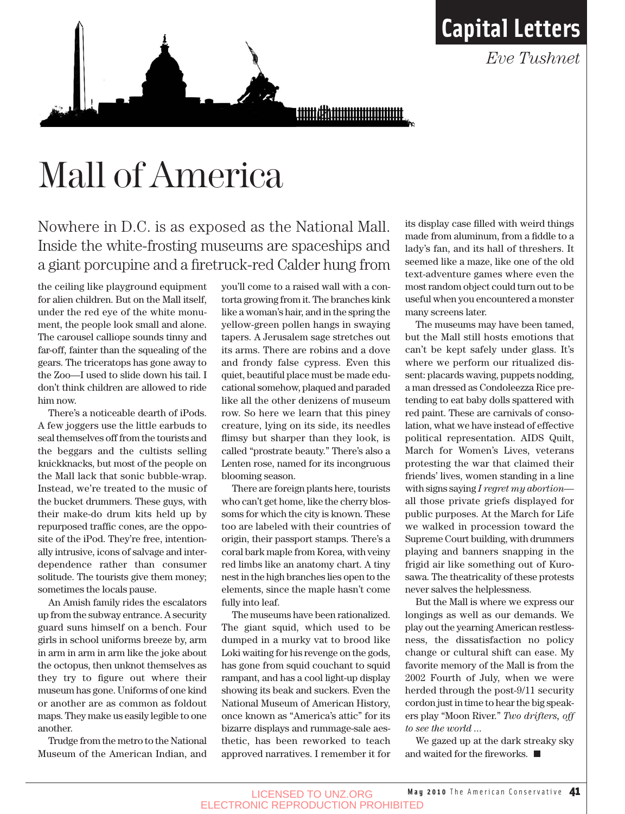<u>umahuunuunuut </u>

## Mall of America

Nowhere in D.C. is as exposed as the National Mall. Inside the white-frosting museums are spaceships and a giant porcupine and a firetruck-red Calder hung from

the ceiling like playground equipment for alien children. But on the Mall itself, under the red eye of the white monument, the people look small and alone. The carousel calliope sounds tinny and far-off, fainter than the squealing of the gears. The triceratops has gone away to the Zoo—I used to slide down his tail. I don't think children are allowed to ride him now.

There's a noticeable dearth of iPods. A few joggers use the little earbuds to seal themselves off from the tourists and the beggars and the cultists selling knickknacks, but most of the people on the Mall lack that sonic bubble-wrap. Instead, we're treated to the music of the bucket drummers. These guys, with their make-do drum kits held up by repurposed traffic cones, are the opposite of the iPod. They're free, intentionally intrusive, icons of salvage and interdependence rather than consumer solitude. The tourists give them money; sometimes the locals pause.

An Amish family rides the escalators up from the subway entrance. A security guard suns himself on a bench. Four girls in school uniforms breeze by, arm in arm in arm in arm like the joke about the octopus, then unknot themselves as they try to figure out where their museum has gone. Uniforms of one kind or another are as common as foldout maps. They make us easily legible to one another.

Trudge from the metro to the National Museum of the American Indian, and you'll come to a raised wall with a contorta growing from it. The branches kink like a woman's hair, and in the spring the yellow-green pollen hangs in swaying tapers. A Jerusalem sage stretches out its arms. There are robins and a dove and frondy false cypress. Even this quiet, beautiful place must be made educational somehow, plaqued and paraded like all the other denizens of museum row. So here we learn that this piney creature, lying on its side, its needles flimsy but sharper than they look, is called "prostrate beauty." There's also a Lenten rose, named for its incongruous blooming season.

There are foreign plants here, tourists who can't get home, like the cherry blossoms for which the city is known. These too are labeled with their countries of origin, their passport stamps. There's a coral bark maple from Korea, with veiny red limbs like an anatomy chart. A tiny nest in the high branches lies open to the elements, since the maple hasn't come fully into leaf.

The museums have been rationalized. The giant squid, which used to be dumped in a murky vat to brood like Loki waiting for his revenge on the gods, has gone from squid couchant to squid rampant, and has a cool light-up display showing its beak and suckers. Even the National Museum of American History, once known as "America's attic" for its bizarre displays and rummage-sale aesthetic, has been reworked to teach approved narratives. I remember it for its display case filled with weird things made from aluminum, from a fiddle to a lady's fan, and its hall of threshers. It seemed like a maze, like one of the old text-adventure games where even the most random object could turn out to be useful when you encountered a monster many screens later.

**Capital Letters**

*Eve Tushnet* 

The museums may have been tamed, but the Mall still hosts emotions that can't be kept safely under glass. It's where we perform our ritualized dissent: placards waving, puppets nodding, a man dressed as Condoleezza Rice pretending to eat baby dolls spattered with red paint. These are carnivals of consolation, what we have instead of effective political representation. AIDS Quilt, March for Women's Lives, veterans protesting the war that claimed their friends' lives, women standing in a line with signs saying *I regret my abortion* all those private griefs displayed for public purposes. At the March for Life we walked in procession toward the Supreme Court building, with drummers playing and banners snapping in the frigid air like something out of Kurosawa. The theatricality of these protests never salves the helplessness.

But the Mall is where we express our longings as well as our demands. We play out the yearning American restlessness, the dissatisfaction no policy change or cultural shift can ease. My favorite memory of the Mall is from the 2002 Fourth of July, when we were herded through the post-9/11 security cordon just in time to hear the big speakers play "Moon River." *Two drifters, off to see the world ...* 

We gazed up at the dark streaky sky and waited for the fireworks.